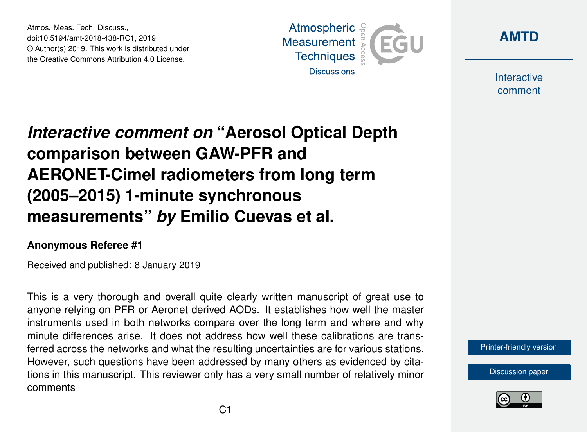Atmos. Meas. Tech. Discuss., doi:10.5194/amt-2018-438-RC1, 2019 © Author(s) 2019. This work is distributed under the Creative Commons Attribution 4.0 License.





Interactive comment

## *Interactive comment on* **"Aerosol Optical Depth comparison between GAW-PFR and AERONET-Cimel radiometers from long term (2005–2015) 1-minute synchronous measurements"** *by* **Emilio Cuevas et al.**

## **Anonymous Referee #1**

Received and published: 8 January 2019

This is a very thorough and overall quite clearly written manuscript of great use to anyone relying on PFR or Aeronet derived AODs. It establishes how well the master instruments used in both networks compare over the long term and where and why minute differences arise. It does not address how well these calibrations are transferred across the networks and what the resulting uncertainties are for various stations. However, such questions have been addressed by many others as evidenced by citations in this manuscript. This reviewer only has a very small number of relatively minor comments

[Printer-friendly version](https://www.atmos-meas-tech-discuss.net/amt-2018-438/amt-2018-438-RC1-print.pdf)

[Discussion paper](https://www.atmos-meas-tech-discuss.net/amt-2018-438)